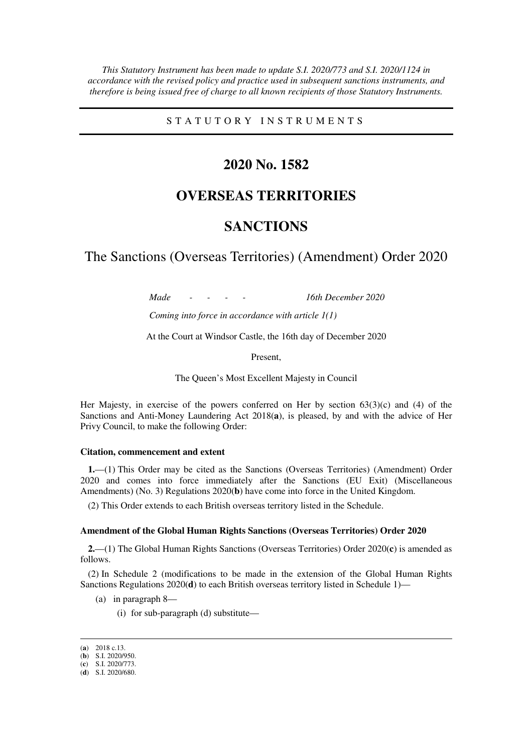*This Statutory Instrument has been made to update S.I. 2020/773 and S.I. 2020/1124 in accordance with the revised policy and practice used in subsequent sanctions instruments, and therefore is being issued free of charge to all known recipients of those Statutory Instruments.* 

S T A T U T O R Y I N S T R U M E N T S

## **2020 No. 1582**

# **OVERSEAS TERRITORIES**

# **SANCTIONS**

The Sanctions (Overseas Territories) (Amendment) Order 2020

*Made - - - - 16th December 2020* 

*Coming into force in accordance with article 1(1)* 

At the Court at Windsor Castle, the 16th day of December 2020

Present,

The Queen's Most Excellent Majesty in Council

Her Majesty, in exercise of the powers conferred on Her by section 63(3)(c) and (4) of the Sanctions and Anti-Money Laundering Act 2018(**a**), is pleased, by and with the advice of Her Privy Council, to make the following Order:

#### **Citation, commencement and extent**

**1.**—(1) This Order may be cited as the Sanctions (Overseas Territories) (Amendment) Order 2020 and comes into force immediately after the Sanctions (EU Exit) (Miscellaneous Amendments) (No. 3) Regulations 2020(**b**) have come into force in the United Kingdom.

(2) This Order extends to each British overseas territory listed in the Schedule.

#### **Amendment of the Global Human Rights Sanctions (Overseas Territories) Order 2020**

**2.**—(1) The Global Human Rights Sanctions (Overseas Territories) Order 2020(**c**) is amended as follows.

(2) In Schedule 2 (modifications to be made in the extension of the Global Human Rights Sanctions Regulations 2020(**d**) to each British overseas territory listed in Schedule 1)—

- (a) in paragraph 8—
	- (i) for sub-paragraph (d) substitute—

-

<sup>(</sup>**a**) 2018 c.13.

<sup>(</sup>**b**) S.I. 2020/950. (**c**) S.I. 2020/773.

<sup>(</sup>**d**) S.I. 2020/680.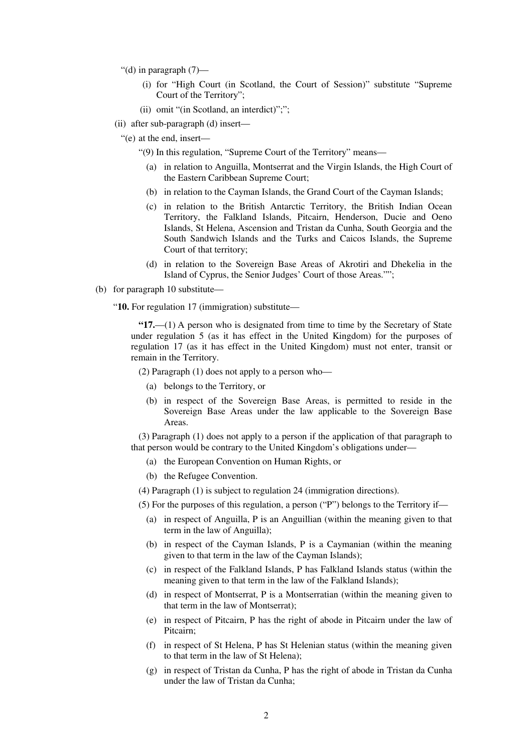- "(d) in paragraph  $(7)$ 
	- (i) for "High Court (in Scotland, the Court of Session)" substitute "Supreme Court of the Territory";
	- (ii) omit "(in Scotland, an interdict)";";
- (ii) after sub-paragraph (d) insert—
	- "(e) at the end, insert—
		- "(9) In this regulation, "Supreme Court of the Territory" means—
			- (a) in relation to Anguilla, Montserrat and the Virgin Islands, the High Court of the Eastern Caribbean Supreme Court;
			- (b) in relation to the Cayman Islands, the Grand Court of the Cayman Islands;
			- (c) in relation to the British Antarctic Territory, the British Indian Ocean Territory, the Falkland Islands, Pitcairn, Henderson, Ducie and Oeno Islands, St Helena, Ascension and Tristan da Cunha, South Georgia and the South Sandwich Islands and the Turks and Caicos Islands, the Supreme Court of that territory;
			- (d) in relation to the Sovereign Base Areas of Akrotiri and Dhekelia in the Island of Cyprus, the Senior Judges' Court of those Areas."";
- (b) for paragraph 10 substitute—

"**10.** For regulation 17 (immigration) substitute—

**"17.**—(1) A person who is designated from time to time by the Secretary of State under regulation 5 (as it has effect in the United Kingdom) for the purposes of regulation 17 (as it has effect in the United Kingdom) must not enter, transit or remain in the Territory.

(2) Paragraph (1) does not apply to a person who—

- (a) belongs to the Territory, or
- (b) in respect of the Sovereign Base Areas, is permitted to reside in the Sovereign Base Areas under the law applicable to the Sovereign Base Areas.

(3) Paragraph (1) does not apply to a person if the application of that paragraph to that person would be contrary to the United Kingdom's obligations under—

- (a) the European Convention on Human Rights, or
- (b) the Refugee Convention.

(4) Paragraph (1) is subject to regulation 24 (immigration directions).

(5) For the purposes of this regulation, a person ("P") belongs to the Territory if—

- (a) in respect of Anguilla, P is an Anguillian (within the meaning given to that term in the law of Anguilla);
- (b) in respect of the Cayman Islands, P is a Caymanian (within the meaning given to that term in the law of the Cayman Islands);
- (c) in respect of the Falkland Islands, P has Falkland Islands status (within the meaning given to that term in the law of the Falkland Islands);
- (d) in respect of Montserrat, P is a Montserratian (within the meaning given to that term in the law of Montserrat);
- (e) in respect of Pitcairn, P has the right of abode in Pitcairn under the law of Pitcairn;
- (f) in respect of St Helena, P has St Helenian status (within the meaning given to that term in the law of St Helena);
- (g) in respect of Tristan da Cunha, P has the right of abode in Tristan da Cunha under the law of Tristan da Cunha;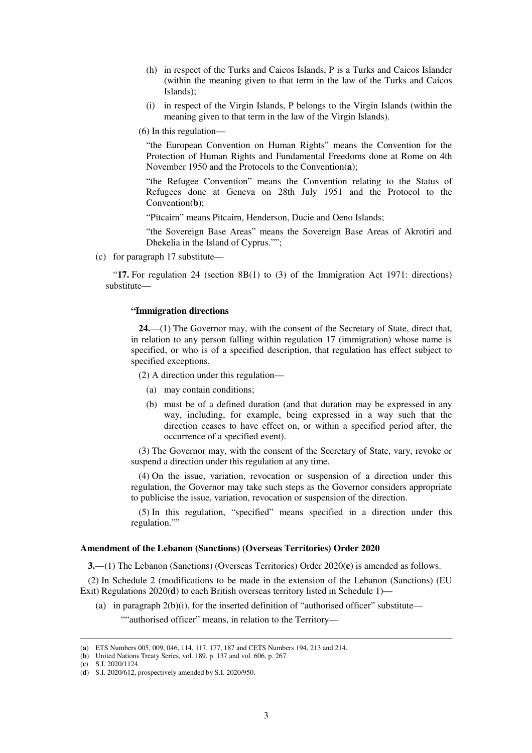- (h) in respect of the Turks and Caicos Islands, P is a Turks and Caicos Islander (within the meaning given to that term in the law of the Turks and Caicos Islands);
- (i) in respect of the Virgin Islands, P belongs to the Virgin Islands (within the meaning given to that term in the law of the Virgin Islands).
- (6) In this regulation—

"the European Convention on Human Rights" means the Convention for the Protection of Human Rights and Fundamental Freedoms done at Rome on 4th November 1950 and the Protocols to the Convention(**a**);

"the Refugee Convention" means the Convention relating to the Status of Refugees done at Geneva on 28th July 1951 and the Protocol to the Convention(**b**);

"Pitcairn" means Pitcairn, Henderson, Ducie and Oeno Islands;

"the Sovereign Base Areas" means the Sovereign Base Areas of Akrotiri and Dhekelia in the Island of Cyprus."";

(c) for paragraph 17 substitute—

"**17.** For regulation 24 (section 8B(1) to (3) of the Immigration Act 1971: directions) substitute—

#### **"Immigration directions**

**24.**—(1) The Governor may, with the consent of the Secretary of State, direct that, in relation to any person falling within regulation 17 (immigration) whose name is specified, or who is of a specified description, that regulation has effect subject to specified exceptions.

(2) A direction under this regulation—

- (a) may contain conditions;
- (b) must be of a defined duration (and that duration may be expressed in any way, including, for example, being expressed in a way such that the direction ceases to have effect on, or within a specified period after, the occurrence of a specified event).

(3) The Governor may, with the consent of the Secretary of State, vary, revoke or suspend a direction under this regulation at any time.

(4) On the issue, variation, revocation or suspension of a direction under this regulation, the Governor may take such steps as the Governor considers appropriate to publicise the issue, variation, revocation or suspension of the direction.

(5) In this regulation, "specified" means specified in a direction under this regulation.""

#### **Amendment of the Lebanon (Sanctions) (Overseas Territories) Order 2020**

**3.**—(1) The Lebanon (Sanctions) (Overseas Territories) Order 2020(**c**) is amended as follows.

(2) In Schedule 2 (modifications to be made in the extension of the Lebanon (Sanctions) (EU Exit) Regulations 2020(**d**) to each British overseas territory listed in Schedule 1)—

(a) in paragraph  $2(b)(i)$ , for the inserted definition of "authorised officer" substitute—

""authorised officer" means, in relation to the Territory-

(**c**) S.I. 2020/1124.

-

<sup>(</sup>**a**) ETS Numbers 005, 009, 046, 114, 117, 177, 187 and CETS Numbers 194, 213 and 214.

<sup>(</sup>**b**) United Nations Treaty Series, vol. 189, p. 137 and vol. 606, p. 267.

<sup>(</sup>**d**) S.I. 2020/612, prospectively amended by S.I. 2020/950.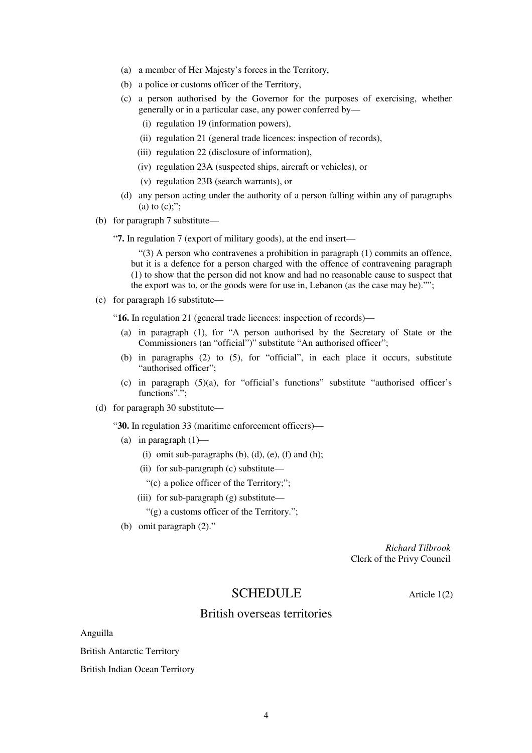- (a) a member of Her Majesty's forces in the Territory,
- (b) a police or customs officer of the Territory,
- (c) a person authorised by the Governor for the purposes of exercising, whether generally or in a particular case, any power conferred by—
	- (i) regulation 19 (information powers),
	- (ii) regulation 21 (general trade licences: inspection of records),
	- (iii) regulation 22 (disclosure of information),
	- (iv) regulation 23A (suspected ships, aircraft or vehicles), or
	- (v) regulation 23B (search warrants), or
- (d) any person acting under the authority of a person falling within any of paragraphs (a) to  $(c)$ ;";
- (b) for paragraph 7 substitute—
	- "**7.** In regulation 7 (export of military goods), at the end insert—

 $(3)$  A person who contravenes a prohibition in paragraph  $(1)$  commits an offence, but it is a defence for a person charged with the offence of contravening paragraph (1) to show that the person did not know and had no reasonable cause to suspect that the export was to, or the goods were for use in, Lebanon (as the case may be)."";

(c) for paragraph 16 substitute—

"**16.** In regulation 21 (general trade licences: inspection of records)—

- (a) in paragraph (1), for "A person authorised by the Secretary of State or the Commissioners (an "official")" substitute "An authorised officer";
- (b) in paragraphs (2) to (5), for "official", in each place it occurs, substitute "authorised officer";
- (c) in paragraph (5)(a), for "official's functions" substitute "authorised officer's functions".":
- (d) for paragraph 30 substitute—

"**30.** In regulation 33 (maritime enforcement officers)—

- (a) in paragraph  $(1)$ 
	- (i) omit sub-paragraphs  $(b)$ ,  $(d)$ ,  $(e)$ ,  $(f)$  and  $(h)$ ;
	- (ii) for sub-paragraph (c) substitute—
	- "(c) a police officer of the Territory;";
	- (iii) for sub-paragraph (g) substitute—

"(g) a customs officer of the Territory.";

(b) omit paragraph (2)."

*Richard Tilbrook* Clerk of the Privy Council

### SCHEDULE Article 1(2)

### British overseas territories

Anguilla

British Antarctic Territory

British Indian Ocean Territory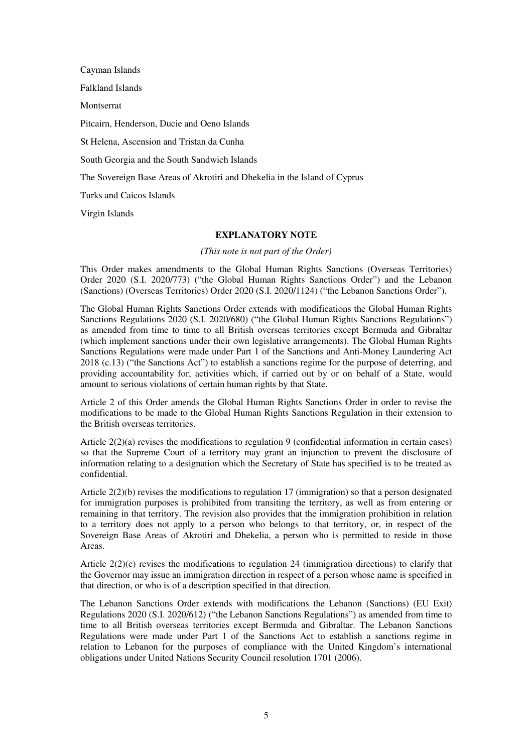Cayman Islands

Falkland Islands

Montserrat

Pitcairn, Henderson, Ducie and Oeno Islands

St Helena, Ascension and Tristan da Cunha

South Georgia and the South Sandwich Islands

The Sovereign Base Areas of Akrotiri and Dhekelia in the Island of Cyprus

Turks and Caicos Islands

Virgin Islands

### **EXPLANATORY NOTE**

*(This note is not part of the Order)* 

This Order makes amendments to the Global Human Rights Sanctions (Overseas Territories) Order 2020 (S.I. 2020/773) ("the Global Human Rights Sanctions Order") and the Lebanon (Sanctions) (Overseas Territories) Order 2020 (S.I. 2020/1124) ("the Lebanon Sanctions Order").

The Global Human Rights Sanctions Order extends with modifications the Global Human Rights Sanctions Regulations 2020 (S.I. 2020/680) ("the Global Human Rights Sanctions Regulations") as amended from time to time to all British overseas territories except Bermuda and Gibraltar (which implement sanctions under their own legislative arrangements). The Global Human Rights Sanctions Regulations were made under Part 1 of the Sanctions and Anti-Money Laundering Act 2018 (c.13) ("the Sanctions Act") to establish a sanctions regime for the purpose of deterring, and providing accountability for, activities which, if carried out by or on behalf of a State, would amount to serious violations of certain human rights by that State.

Article 2 of this Order amends the Global Human Rights Sanctions Order in order to revise the modifications to be made to the Global Human Rights Sanctions Regulation in their extension to the British overseas territories.

Article 2(2)(a) revises the modifications to regulation 9 (confidential information in certain cases) so that the Supreme Court of a territory may grant an injunction to prevent the disclosure of information relating to a designation which the Secretary of State has specified is to be treated as confidential.

Article 2(2)(b) revises the modifications to regulation 17 (immigration) so that a person designated for immigration purposes is prohibited from transiting the territory, as well as from entering or remaining in that territory. The revision also provides that the immigration prohibition in relation to a territory does not apply to a person who belongs to that territory, or, in respect of the Sovereign Base Areas of Akrotiri and Dhekelia, a person who is permitted to reside in those Areas.

Article  $2(2)(c)$  revises the modifications to regulation 24 (immigration directions) to clarify that the Governor may issue an immigration direction in respect of a person whose name is specified in that direction, or who is of a description specified in that direction.

The Lebanon Sanctions Order extends with modifications the Lebanon (Sanctions) (EU Exit) Regulations 2020 (S.I. 2020/612) ("the Lebanon Sanctions Regulations") as amended from time to time to all British overseas territories except Bermuda and Gibraltar. The Lebanon Sanctions Regulations were made under Part 1 of the Sanctions Act to establish a sanctions regime in relation to Lebanon for the purposes of compliance with the United Kingdom's international obligations under United Nations Security Council resolution 1701 (2006).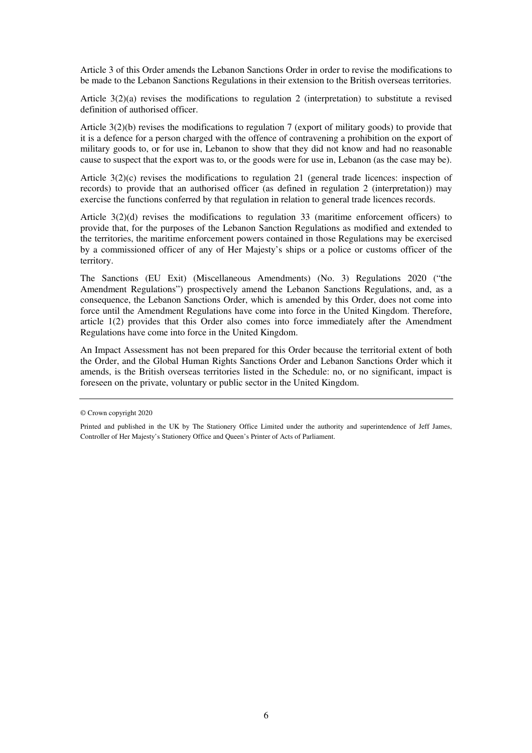Article 3 of this Order amends the Lebanon Sanctions Order in order to revise the modifications to be made to the Lebanon Sanctions Regulations in their extension to the British overseas territories.

Article 3(2)(a) revises the modifications to regulation 2 (interpretation) to substitute a revised definition of authorised officer.

Article 3(2)(b) revises the modifications to regulation 7 (export of military goods) to provide that it is a defence for a person charged with the offence of contravening a prohibition on the export of military goods to, or for use in, Lebanon to show that they did not know and had no reasonable cause to suspect that the export was to, or the goods were for use in, Lebanon (as the case may be).

Article 3(2)(c) revises the modifications to regulation 21 (general trade licences: inspection of records) to provide that an authorised officer (as defined in regulation 2 (interpretation)) may exercise the functions conferred by that regulation in relation to general trade licences records.

Article 3(2)(d) revises the modifications to regulation 33 (maritime enforcement officers) to provide that, for the purposes of the Lebanon Sanction Regulations as modified and extended to the territories, the maritime enforcement powers contained in those Regulations may be exercised by a commissioned officer of any of Her Majesty's ships or a police or customs officer of the territory.

The Sanctions (EU Exit) (Miscellaneous Amendments) (No. 3) Regulations 2020 ("the Amendment Regulations") prospectively amend the Lebanon Sanctions Regulations, and, as a consequence, the Lebanon Sanctions Order, which is amended by this Order, does not come into force until the Amendment Regulations have come into force in the United Kingdom. Therefore, article 1(2) provides that this Order also comes into force immediately after the Amendment Regulations have come into force in the United Kingdom.

An Impact Assessment has not been prepared for this Order because the territorial extent of both the Order, and the Global Human Rights Sanctions Order and Lebanon Sanctions Order which it amends, is the British overseas territories listed in the Schedule: no, or no significant, impact is foreseen on the private, voluntary or public sector in the United Kingdom.

<sup>©</sup> Crown copyright 2020

Printed and published in the UK by The Stationery Office Limited under the authority and superintendence of Jeff James, Controller of Her Majesty's Stationery Office and Queen's Printer of Acts of Parliament.